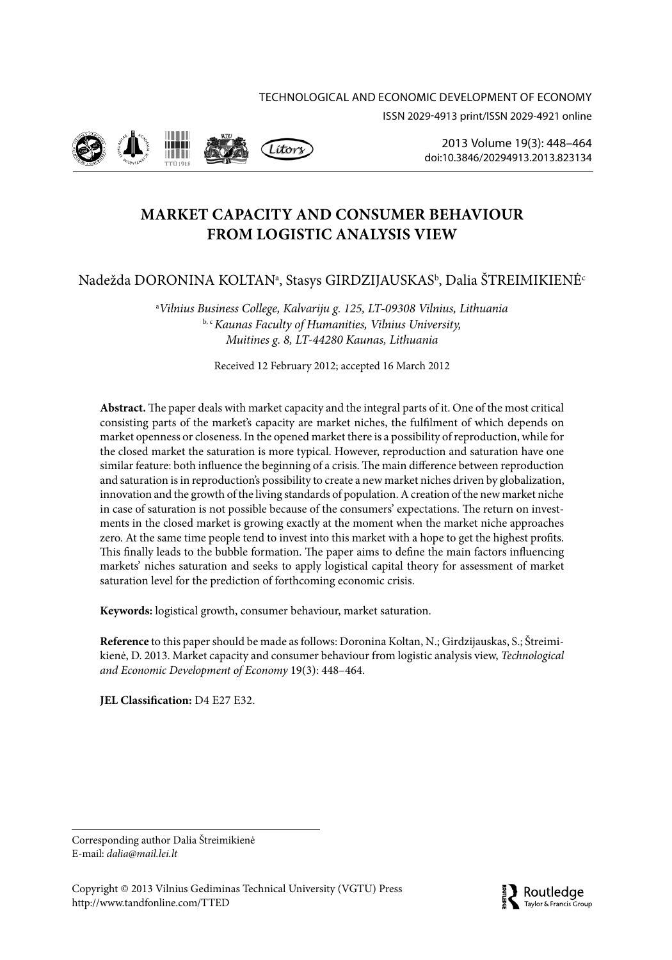# Technological and economic development OF ECONOMY ISSN 2029-4913 print/ISSN 2029-4921 online



2013 Volume 19(3): 448–464 [doi:10.3846/20294913.2013.823134](http://dx.doi.org/10.3846/20294913.2013.823134)

# **MARKET CAPACITY AND CONSUMER BEHAVIOUR FROM LOGISTIC ANALYSIS VIEW**

# Nadežda DORONINA KOLTANª, Stasys GIRDZIJAUSKAS<sup>ь</sup>, Dalia ŠTREIMIKIENĖ<sup>.</sup>

a *Vilnius Business College, Kalvariju g. 125, LT-09308 Vilnius, Lithuania* b, c *Kaunas Faculty of Humanities, Vilnius University, Muitines g. 8, LT-44280 Kaunas, Lithuania* 

Received 12 February 2012; accepted 16 March 2012

**Abstract.** The paper deals with market capacity and the integral parts of it. One of the most critical consisting parts of the market's capacity are market niches, the fulfilment of which depends on market openness or closeness. In the opened market there is a possibility of reproduction, while for the closed market the saturation is more typical. However, reproduction and saturation have one similar feature: both influence the beginning of a crisis. The main difference between reproduction and saturation is in reproduction's possibility to create a new market niches driven by globalization, innovation and the growth of the living standards of population. A creation of the new market niche in case of saturation is not possible because of the consumers' expectations. The return on investments in the closed market is growing exactly at the moment when the market niche approaches zero. At the same time people tend to invest into this market with a hope to get the highest profits. This finally leads to the bubble formation. The paper aims to define the main factors influencing markets' niches saturation and seeks to apply logistical capital theory for assessment of market saturation level for the prediction of forthcoming economic crisis.

**Keywords:** logistical growth, consumer behaviour, market saturation.

**Reference** to this paper should be made as follows: Doronina Koltan, N.; Girdzijauskas, S.; Štreimikienė, D. 2013. Market capacity and consumer behaviour from logistic analysis view, *Technological and Economic Development of Economy* 19(3): 448–464.

**JEL Classification:** D4 E27 E32.

Corresponding author Dalia Štreimikienė E-mail: *dalia@mail.lei.lt*

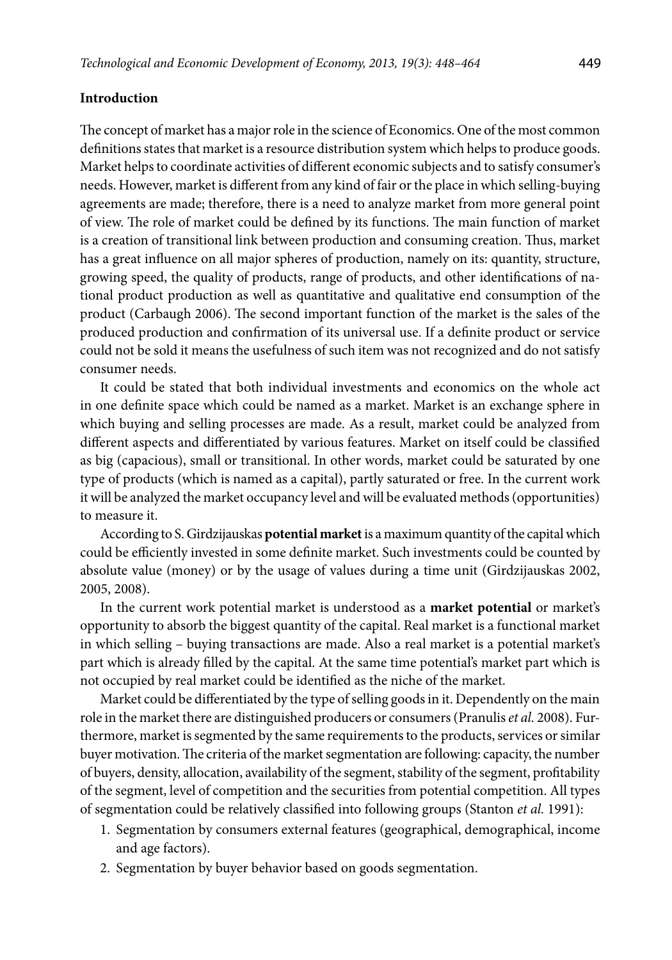### **Introduction**

The concept of market has a major role in the science of Economics. One of the most common definitions states that market is a resource distribution system which helps to produce goods. Market helps to coordinate activities of different economic subjects and to satisfy consumer's needs. However, market is different from any kind of fair or the place in which selling-buying agreements are made; therefore, there is a need to analyze market from more general point of view. The role of market could be defined by its functions. The main function of market is a creation of transitional link between production and consuming creation. Thus, market has a great influence on all major spheres of production, namely on its: quantity, structure, growing speed, the quality of products, range of products, and other identifications of national product production as well as quantitative and qualitative end consumption of the product (Carbaugh 2006). The second important function of the market is the sales of the produced production and confirmation of its universal use. If a definite product or service could not be sold it means the usefulness of such item was not recognized and do not satisfy consumer needs.

It could be stated that both individual investments and economics on the whole act in one definite space which could be named as a market. Market is an exchange sphere in which buying and selling processes are made. As a result, market could be analyzed from different aspects and differentiated by various features. Market on itself could be classified as big (capacious), small or transitional. In other words, market could be saturated by one type of products (which is named as a capital), partly saturated or free. In the current work it will be analyzed the market occupancy level and will be evaluated methods (opportunities) to measure it.

According to S. Girdzijauskas **potential market** is a maximum quantity of the capital which could be efficiently invested in some definite market. Such investments could be counted by absolute value (money) or by the usage of values during a time unit (Girdzijauskas 2002, 2005, 2008).

In the current work potential market is understood as a **market potential** or market's opportunity to absorb the biggest quantity of the capital. Real market is a functional market in which selling – buying transactions are made. Also a real market is a potential market's part which is already filled by the capital. At the same time potential's market part which is not occupied by real market could be identified as the niche of the market.

Market could be differentiated by the type of selling goods in it. Dependently on the main role in the market there are distinguished producers or consumers (Pranulis *et al.* 2008). Furthermore, market is segmented by the same requirements to the products, services or similar buyer motivation. The criteria of the market segmentation are following: capacity, the number of buyers, density, allocation, availability of the segment, stability of the segment, profitability of the segment, level of competition and the securities from potential competition. All types of segmentation could be relatively classified into following groups (Stanton *et al.* 1991):

- 1. Segmentation by consumers external features (geographical, demographical, income and age factors).
- 2. Segmentation by buyer behavior based on goods segmentation.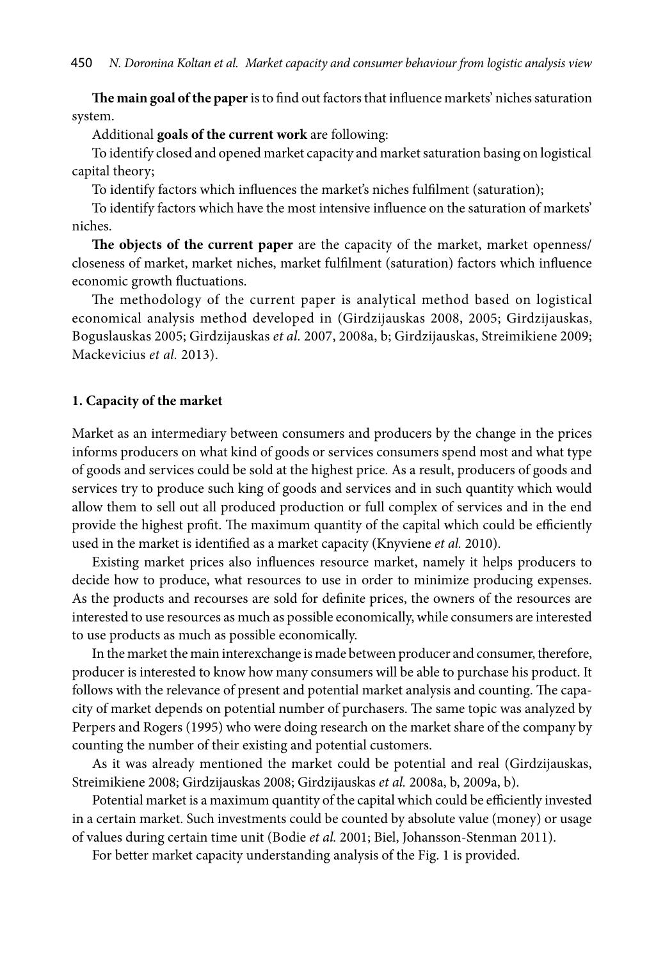**The main goal of the paper** is to find out factors that influence markets' niches saturation system.

Additional **goals of the current work** are following:

To identify closed and opened market capacity and market saturation basing on logistical capital theory;

To identify factors which influences the market's niches fulfilment (saturation);

To identify factors which have the most intensive influence on the saturation of markets' niches.

**The objects of the current paper** are the capacity of the market, market openness/ closeness of market, market niches, market fulfilment (saturation) factors which influence economic growth fluctuations.

The methodology of the current paper is analytical method based on logistical economical analysis method developed in (Girdzijauskas 2008, 2005; Girdzijauskas, Boguslauskas 2005; Girdzijauskas *et al.* 2007, 2008a, b; Girdzijauskas, Streimikiene 2009; Mackevicius *et al.* 2013).

## **1. Capacity of the market**

Market as an intermediary between consumers and producers by the change in the prices informs producers on what kind of goods or services consumers spend most and what type of goods and services could be sold at the highest price. As a result, producers of goods and services try to produce such king of goods and services and in such quantity which would allow them to sell out all produced production or full complex of services and in the end provide the highest profit. The maximum quantity of the capital which could be efficiently used in the market is identified as a market capacity (Knyviene *et al.* 2010).

Existing market prices also influences resource market, namely it helps producers to decide how to produce, what resources to use in order to minimize producing expenses. As the products and recourses are sold for definite prices, the owners of the resources are interested to use resources as much as possible economically, while consumers are interested to use products as much as possible economically.

In the market the main interexchange is made between producer and consumer, therefore, producer is interested to know how many consumers will be able to purchase his product. It follows with the relevance of present and potential market analysis and counting. The capacity of market depends on potential number of purchasers. The same topic was analyzed by Perpers and Rogers (1995) who were doing research on the market share of the company by counting the number of their existing and potential customers.

As it was already mentioned the market could be potential and real (Girdzijauskas, Streimikiene 2008; Girdzijauskas 2008; Girdzijauskas *et al.* 2008a, b, 2009a, b).

Potential market is a maximum quantity of the capital which could be efficiently invested in a certain market. Such investments could be counted by absolute value (money) or usage of values during certain time unit (Bodie *et al.* 2001; Biel, Johansson-Stenman 2011).

For better market capacity understanding analysis of the Fig. 1 is provided.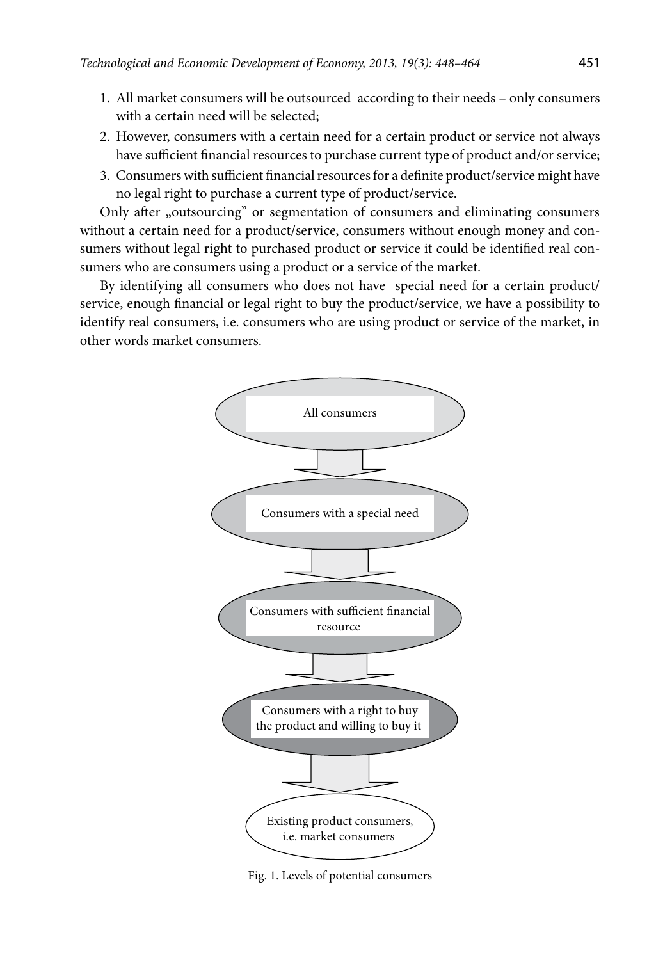- 1. All market consumers will be outsourced according to their needs only consumers with a certain need will be selected;
- 2. However, consumers with a certain need for a certain product or service not always have sufficient financial resources to purchase current type of product and/or service;
- 3. Consumers with sufficient financial resources for a definite product/service might have no legal right to purchase a current type of product/service.

Only after "outsourcing" or segmentation of consumers and eliminating consumers without a certain need for a product/service, consumers without enough money and consumers without legal right to purchased product or service it could be identified real consumers who are consumers using a product or a service of the market.

By identifying all consumers who does not have special need for a certain product/ service, enough financial or legal right to buy the product/service, we have a possibility to identify real consumers, i.e. consumers who are using product or service of the market, in other words market consumers.



Fig. 1. Levels of potential consumers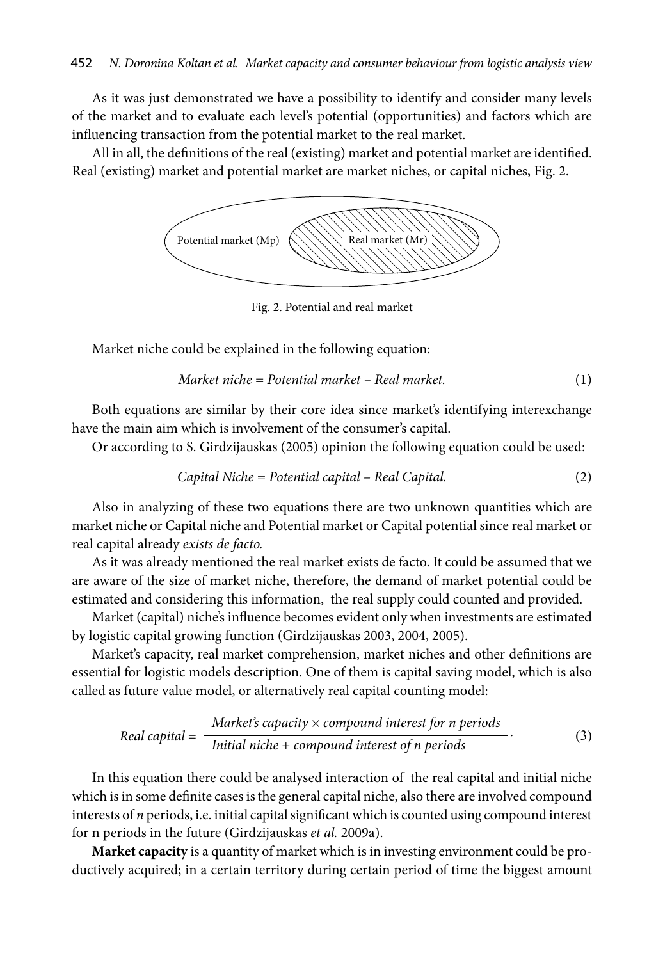As it was just demonstrated we have a possibility to identify and consider many levels of the market and to evaluate each level's potential (opportunities) and factors which are influencing transaction from the potential market to the real market.

All in all, the definitions of the real (existing) market and potential market are identified. Real (existing) market and potential market are market niches, or capital niches, Fig. 2.



Fig. 2. Potential and real market

Market niche could be explained in the following equation:

*Market niche = Potential market – Real market.* (1)

Both equations are similar by their core idea since market's identifying interexchange have the main aim which is involvement of the consumer's capital.

Or according to S. Girdzijauskas (2005) opinion the following equation could be used:

*Capital Niche = Potential capital – Real Capital.* (2)

Also in analyzing of these two equations there are two unknown quantities which are market niche or Capital niche and Potential market or Capital potential since real market or real capital already *exists de facto.* 

As it was already mentioned the real market exists de facto. It could be assumed that we are aware of the size of market niche, therefore, the demand of market potential could be estimated and considering this information, the real supply could counted and provided.

Market (capital) niche's influence becomes evident only when investments are estimated by logistic capital growing function (Girdzijauskas 2003, 2004, 2005).

Market's capacity, real market comprehension, market niches and other definitions are essential for logistic models description. One of them is capital saving model, which is also called as future value model, or alternatively real capital counting model:

Real capital = 
$$
\frac{\text{Market's capacity} \times \text{compound interest for n periods}}{\text{Initial niche} + \text{compound interest of n periods}}.
$$
 (3)

In this equation there could be analysed interaction of the real capital and initial niche which is in some definite cases is the general capital niche, also there are involved compound interests of *n* periods, i.e. initial capital significant which is counted using compound interest for n periods in the future (Girdzijauskas *et al.* 2009a).

**Market capacity** is a quantity of market which is in investing environment could be productively acquired; in a certain territory during certain period of time the biggest amount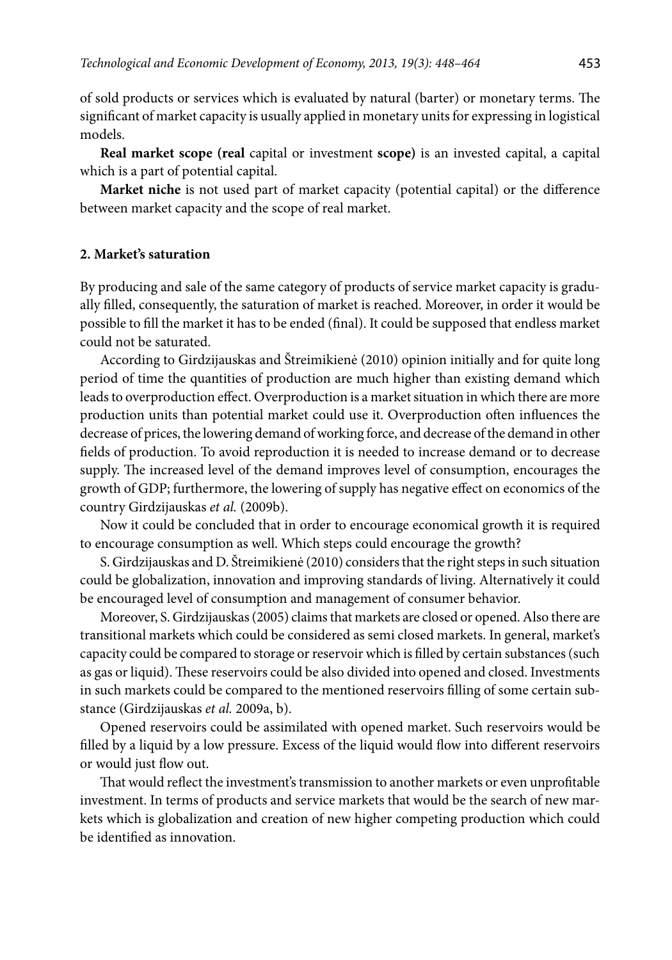of sold products or services which is evaluated by natural (barter) or monetary terms. The significant of market capacity is usually applied in monetary units for expressing in logistical models.

**Real market scope (real** capital or investment **scope)** is an invested capital, a capital which is a part of potential capital.

**Market niche** is not used part of market capacity (potential capital) or the difference between market capacity and the scope of real market.

#### **2. Market's saturation**

By producing and sale of the same category of products of service market capacity is gradually filled, consequently, the saturation of market is reached. Moreover, in order it would be possible to fill the market it has to be ended (final). It could be supposed that endless market could not be saturated.

According to Girdzijauskas and Štreimikienė (2010) opinion initially and for quite long period of time the quantities of production are much higher than existing demand which leads to overproduction effect. Overproduction is a market situation in which there are more production units than potential market could use it. Overproduction often influences the decrease of prices, the lowering demand of working force, and decrease of the demand in other fields of production. To avoid reproduction it is needed to increase demand or to decrease supply. The increased level of the demand improves level of consumption, encourages the growth of GDP; furthermore, the lowering of supply has negative effect on economics of the country Girdzijauskas *et al.* (2009b).

Now it could be concluded that in order to encourage economical growth it is required to encourage consumption as well. Which steps could encourage the growth?

S. Girdzijauskas and D. Štreimikienė (2010) considers that the right steps in such situation could be globalization, innovation and improving standards of living. Alternatively it could be encouraged level of consumption and management of consumer behavior.

Moreover, S. Girdzijauskas (2005) claims that markets are closed or opened. Also there are transitional markets which could be considered as semi closed markets. In general, market's capacity could be compared to storage or reservoir which is filled by certain substances (such as gas or liquid). These reservoirs could be also divided into opened and closed. Investments in such markets could be compared to the mentioned reservoirs filling of some certain substance (Girdzijauskas *et al.* 2009a, b).

Opened reservoirs could be assimilated with opened market. Such reservoirs would be filled by a liquid by a low pressure. Excess of the liquid would flow into different reservoirs or would just flow out.

That would reflect the investment's transmission to another markets or even unprofitable investment. In terms of products and service markets that would be the search of new markets which is globalization and creation of new higher competing production which could be identified as innovation.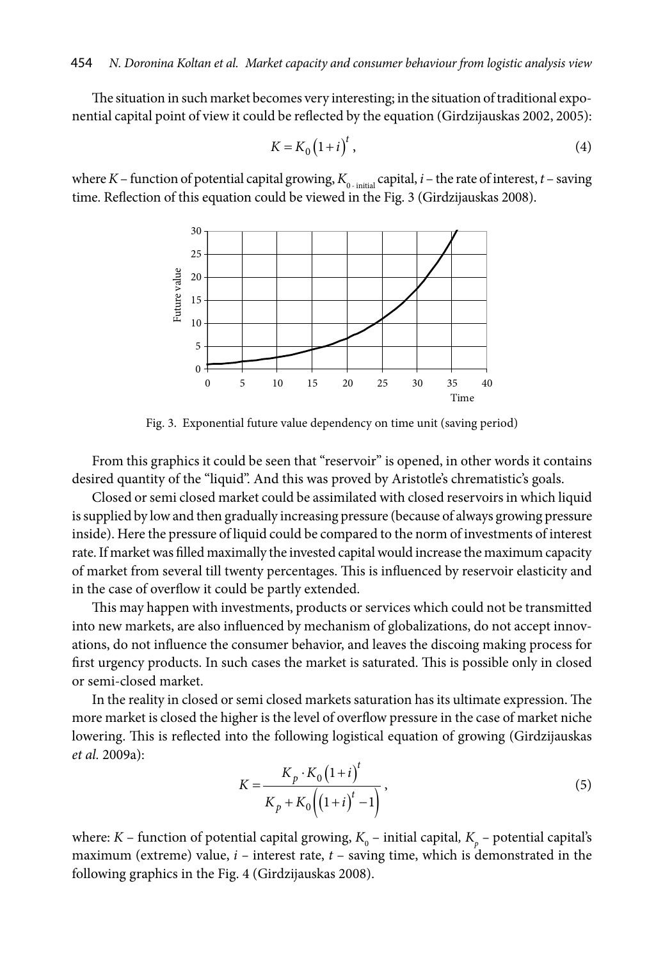The situation in such market becomes very interesting; in the situation of traditional exponential capital point of view it could be reflected by the equation (Girdzijauskas 2002, 2005):

$$
K = K_0 \left(1 + i\right)^t,\tag{4}
$$

where *K* – function of potential capital growing,  $K_{0-\text{initial}}$  capital, *i* – the rate of interest, *t* – saving time. Reflection of this equation could be viewed in the Fig. 3 (Girdzijauskas 2008).



Fig. 3. Exponential future value dependency on time unit (saving period)

From this graphics it could be seen that "reservoir" is opened, in other words it contains desired quantity of the "liquid". And this was proved by Aristotle's chrematistic's goals.

Closed or semi closed market could be assimilated with closed reservoirs in which liquid is supplied by low and then gradually increasing pressure (because of always growing pressure inside). Here the pressure of liquid could be compared to the norm of investments of interest rate. If market was filled maximally the invested capital would increase the maximum capacity of market from several till twenty percentages. This is influenced by reservoir elasticity and in the case of overflow it could be partly extended.

This may happen with investments, products or services which could not be transmitted into new markets, are also influenced by mechanism of globalizations, do not accept innovations, do not influence the consumer behavior, and leaves the discoing making process for first urgency products. In such cases the market is saturated. This is possible only in closed or semi-closed market.

In the reality in closed or semi closed markets saturation has its ultimate expression. The more market is closed the higher is the level of overflow pressure in the case of market niche lowering. This is reflected into the following logistical equation of growing (Girdzijauskas *et al.* 2009a):

$$
K = \frac{K_p \cdot K_0 (1 + i)^t}{K_p + K_0 ((1 + i)^t - 1)},
$$
\n(5)

where: *K* – function of potential capital growing,  $K_{0}$  – initial capital,  $K_{p}$  – potential capital's maximum (extreme) value, *i –* interest rate, *t* – saving time, which is demonstrated in the following graphics in the Fig. 4 (Girdzijauskas 2008).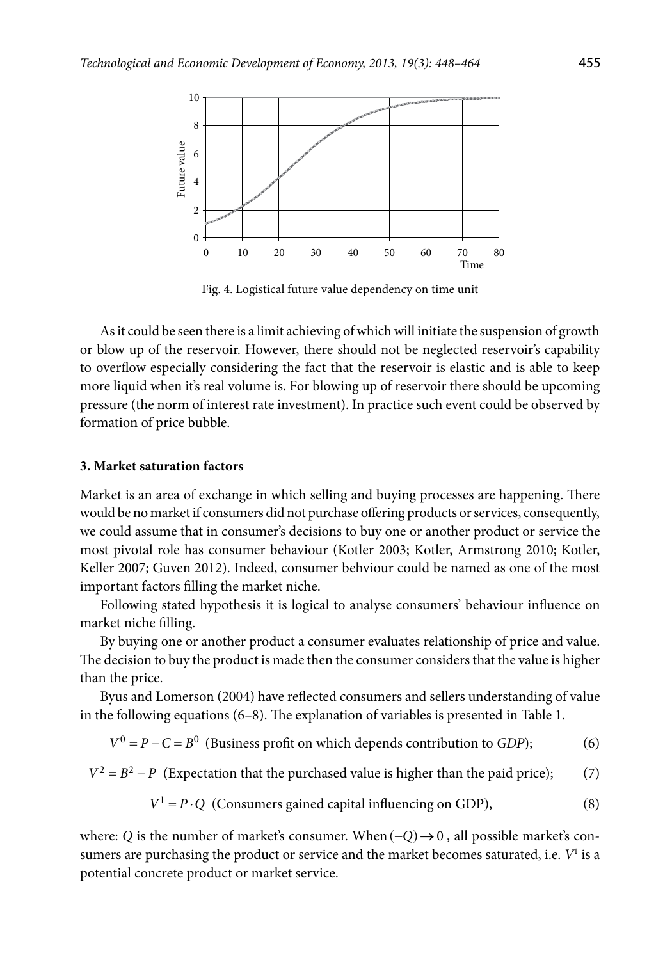

Fig. 4. Logistical future value dependency on time unit

As it could be seen there is a limit achieving of which will initiate the suspension of growth or blow up of the reservoir. However, there should not be neglected reservoir's capability to overflow especially considering the fact that the reservoir is elastic and is able to keep more liquid when it's real volume is. For blowing up of reservoir there should be upcoming pressure (the norm of interest rate investment). In practice such event could be observed by formation of price bubble.

## **3. Market saturation factors**

Market is an area of exchange in which selling and buying processes are happening. There would be no market if consumers did not purchase offering products or services, consequently, we could assume that in consumer's decisions to buy one or another product or service the most pivotal role has consumer behaviour (Kotler 2003; Kotler, Armstrong 2010; Kotler, Keller 2007; Guven 2012). Indeed, consumer behviour could be named as one of the most important factors filling the market niche.

Following stated hypothesis it is logical to analyse consumers' behaviour influence on market niche filling.

By buying one or another product a consumer evaluates relationship of price and value. The decision to buy the product is made then the consumer considers that the value is higher than the price.

Byus and Lomerson (2004) have reflected consumers and sellers understanding of value in the following equations (6–8). The explanation of variables is presented in Table 1.

 $V^0 = P - C = B^0$  (Business profit on which depends contribution to *GDP*); (6)

 $V^2 = B^2 - P$  (Expectation that the purchased value is higher than the paid price); (7)

$$
V1 = P \cdot Q \text{ (Consumes gained capital influencing on GDP),} \tag{8}
$$

where: *Q* is the number of market's consumer. When  $(-Q) \rightarrow 0$ , all possible market's consumers are purchasing the product or service and the market becomes saturated, i.e. *V*<sup>1</sup> is a potential concrete product or market service.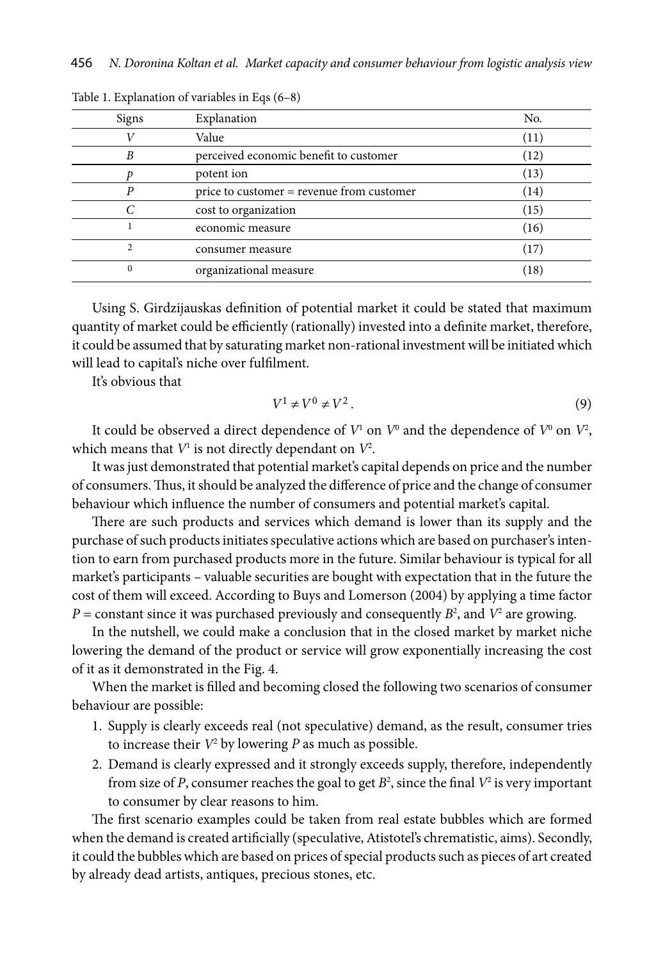| Signs          | Explanation                               | No.  |
|----------------|-------------------------------------------|------|
|                | Value                                     | (11) |
| B              | perceived economic benefit to customer    | (12) |
|                | potent ion                                | (13) |
| P              | price to customer = revenue from customer | (14) |
|                | cost to organization                      | (15) |
|                | economic measure                          | (16) |
| $\overline{c}$ | consumer measure                          | (17) |
| $\bf{0}$       | organizational measure                    | (18) |

Table 1. Explanation of variables in Eqs (6–8)

Using S. Girdzijauskas definition of potential market it could be stated that maximum quantity of market could be efficiently (rationally) invested into a definite market, therefore, it could be assumed that by saturating market non-rational investment will be initiated which will lead to capital's niche over fulfilment.

It's obvious that

$$
V^1 \neq V^0 \neq V^2. \tag{9}
$$

It could be observed a direct dependence of  $V^1$  on  $V^0$  and the dependence of  $V^0$  on  $V^2$ , which means that  $V^1$  is not directly dependant on  $V^2$ .

It was just demonstrated that potential market's capital depends on price and the number of consumers. Thus, it should be analyzed the difference of price and the change of consumer behaviour which influence the number of consumers and potential market's capital.

There are such products and services which demand is lower than its supply and the purchase of such products initiates speculative actions which are based on purchaser's intention to earn from purchased products more in the future. Similar behaviour is typical for all market's participants – valuable securities are bought with expectation that in the future the cost of them will exceed. According to Buys and Lomerson (2004) by applying a time factor  $P =$  constant since it was purchased previously and consequently  $B^2$ , and  $V^2$  are growing.

In the nutshell, we could make a conclusion that in the closed market by market niche lowering the demand of the product or service will grow exponentially increasing the cost of it as it demonstrated in the Fig. 4.

When the market is filled and becoming closed the following two scenarios of consumer behaviour are possible:

- 1. Supply is clearly exceeds real (not speculative) demand, as the result, consumer tries to increase their *V*<sup>2</sup> by lowering *P* as much as possible.
- 2. Demand is clearly expressed and it strongly exceeds supply, therefore, independently from size of *P*, consumer reaches the goal to get  $B^2$ , since the final  $V^2$  is very important to consumer by clear reasons to him.

The first scenario examples could be taken from real estate bubbles which are formed when the demand is created artificially (speculative, Atistotel's chrematistic, aims). Secondly, it could the bubbles which are based on prices of special products such as pieces of art created by already dead artists, antiques, precious stones, etc.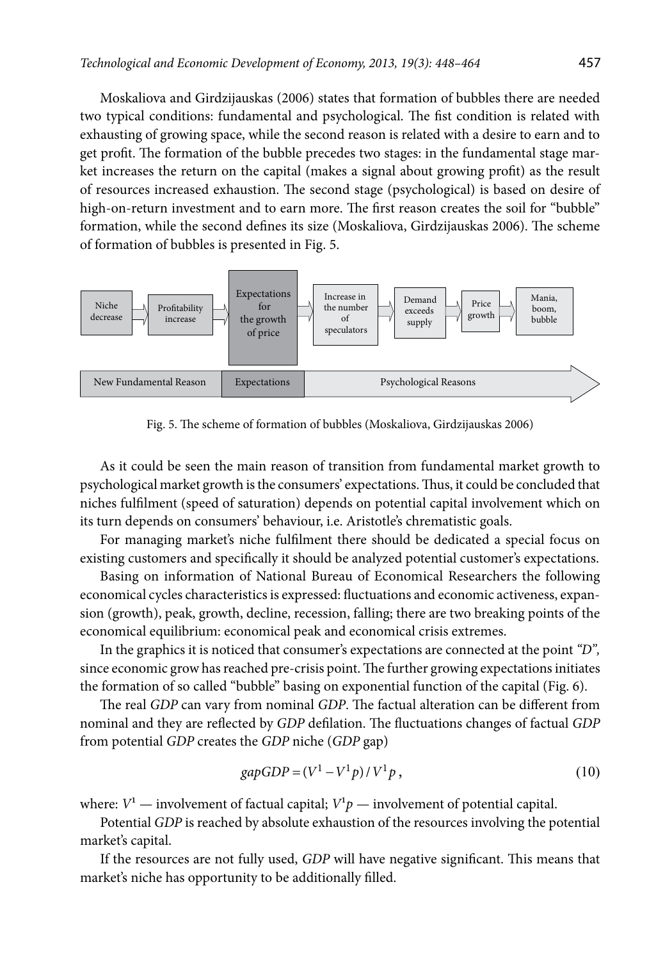Moskaliova and Girdzijauskas (2006) states that formation of bubbles there are needed two typical conditions: fundamental and psychological. The fist condition is related with exhausting of growing space, while the second reason is related with a desire to earn and to get profit. The formation of the bubble precedes two stages: in the fundamental stage market increases the return on the capital (makes a signal about growing profit) as the result of resources increased exhaustion. The second stage (psychological) is based on desire of high-on-return investment and to earn more. The first reason creates the soil for "bubble" formation, while the second defines its size (Moskaliova, Girdzijauskas 2006). The scheme of formation of bubbles is presented in Fig. 5.



Fig. 5. The scheme of formation of bubbles (Moskaliova, Girdzijauskas 2006)

As it could be seen the main reason of transition from fundamental market growth to psychological market growth is the consumers' expectations. Thus, it could be concluded that niches fulfilment (speed of saturation) depends on potential capital involvement which on its turn depends on consumers' behaviour, i.e. Aristotle's chrematistic goals.

For managing market's niche fulfilment there should be dedicated a special focus on existing customers and specifically it should be analyzed potential customer's expectations.

Basing on information of National Bureau of Economical Researchers the following economical cycles characteristics is expressed: fluctuations and economic activeness, expansion (growth), peak, growth, decline, recession, falling; there are two breaking points of the economical equilibrium: economical peak and economical crisis extremes.

In the graphics it is noticed that consumer's expectations are connected at the point *"D",*  since economic grow has reached pre-crisis point. The further growing expectations initiates the formation of so called "bubble" basing on exponential function of the capital (Fig. 6).

The real *GDP* can vary from nominal *GDP*. The factual alteration can be different from nominal and they are reflected by *GDP* defilation. The fluctuations changes of factual *GDP* from potential *GDP* creates the *GDP* niche (*GDP* gap)

$$
gapGDP = (V1 - V1p) / V1p,
$$
\n(10)

where:  $V^1$  — involvement of factual capital;  $V^1p$  — involvement of potential capital.

Potential *GDP* is reached by absolute exhaustion of the resources involving the potential market's capital.

If the resources are not fully used, *GDP* will have negative significant. This means that market's niche has opportunity to be additionally filled.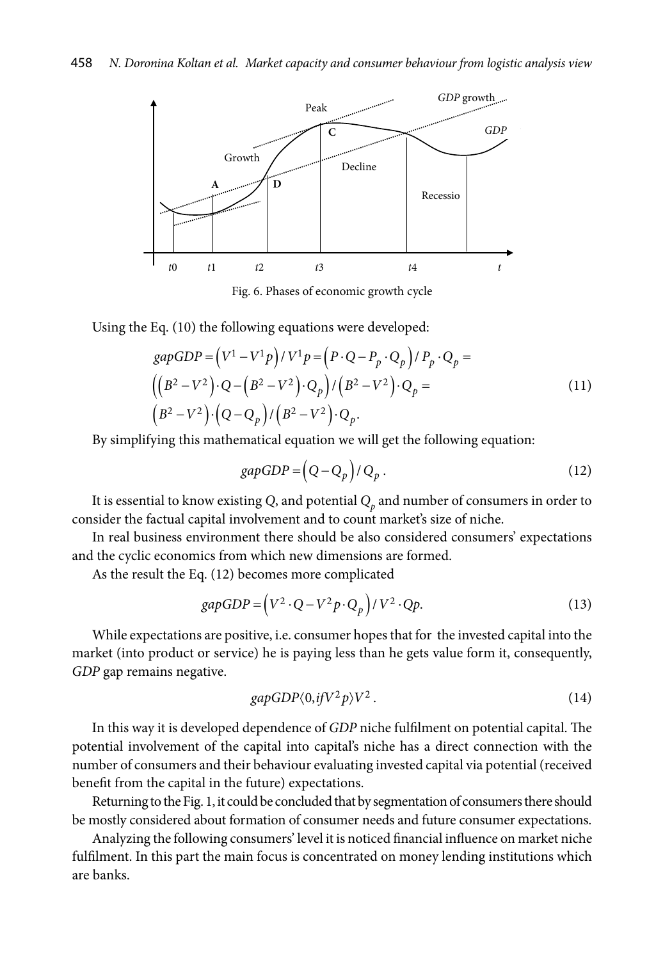

Fig. 6. Phases of economic growth cycle

Using the Eq. (10) the following equations were developed:

$$
gapGDP = (V1 - V1p)/V1p = (P \cdot Q - Pp \cdot Qp)/Pp \cdot Qp =
$$
  
\n
$$
((B2 - V2) \cdot Q - (B2 - V2) \cdot Qp)/(B2 - V2) \cdot Qp =
$$
  
\n
$$
(B2 - V2) \cdot (Q - Qp)/(B2 - V2) \cdot Qp.
$$
 (11)

By simplifying this mathematical equation we will get the following equation:

$$
gapGDP = (Q - Q_p) / Q_p. \tag{12}
$$

It is essential to know existing  $Q$ , and potential  $Q_p$  and number of consumers in order to consider the factual capital involvement and to count market's size of niche.

In real business environment there should be also considered consumers' expectations and the cyclic economics from which new dimensions are formed.

As the result the Eq. (12) becomes more complicated

$$
gapGDP = (V^2 \cdot Q - V^2 p \cdot Q_p) / V^2 \cdot Qp. \tag{13}
$$

While expectations are positive, i.e. consumer hopes that for the invested capital into the market (into product or service) he is paying less than he gets value form it, consequently, *GDP* gap remains negative.

$$
gapGDP\langle 0, if V^2 p \rangle V^2. \tag{14}
$$

In this way it is developed dependence of *GDP* niche fulfilment on potential capital. The potential involvement of the capital into capital's niche has a direct connection with the number of consumers and their behaviour evaluating invested capital via potential (received benefit from the capital in the future) expectations.

Returning to the Fig. 1, it could be concluded that by segmentation of consumers there should be mostly considered about formation of consumer needs and future consumer expectations.

Analyzing the following consumers' level it is noticed financial influence on market niche fulfilment. In this part the main focus is concentrated on money lending institutions which are banks.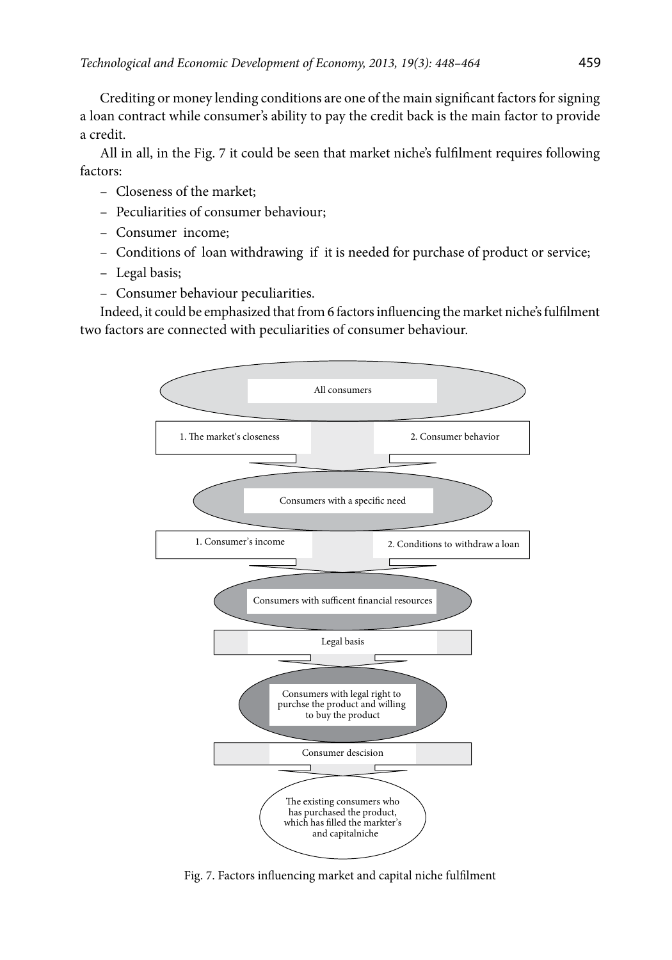Crediting or money lending conditions are one of the main significant factors for signing a loan contract while consumer's ability to pay the credit back is the main factor to provide a credit.

All in all, in the Fig. 7 it could be seen that market niche's fulfilment requires following factors:

- Closeness of the market;
- Peculiarities of consumer behaviour;
- Consumer income;
- Conditions of loan withdrawing if it is needed for purchase of product or service;
- Legal basis;
- Consumer behaviour peculiarities.

Indeed, it could be emphasized that from 6 factors influencing the market niche's fulfilment two factors are connected with peculiarities of consumer behaviour.



Fig. 7. Factors influencing market and capital niche fulfilment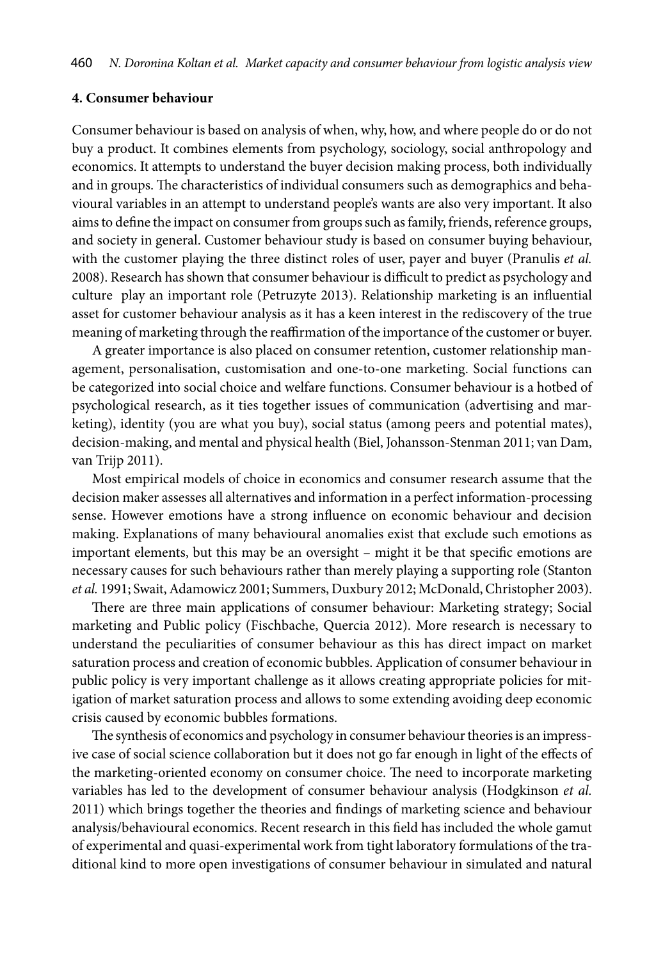### **4. Consumer behaviour**

Consumer behaviour is based on analysis of when, why, how, and where people do or do not buy a product. It combines elements from psychology, sociology, social anthropology and economics. It attempts to understand the buyer decision making process, both individually and in groups. The characteristics of individual consumers such as demographics and behavioural variables in an attempt to understand people's wants are also very important. It also aims to define the impact on consumer from groups such as family, friends, reference groups, and society in general. Customer behaviour study is based on consumer buying behaviour, with the customer playing the three distinct roles of user, payer and buyer (Pranulis *et al.* 2008). Research has shown that consumer behaviour is difficult to predict as psychology and culture play an important role (Petruzyte 2013). Relationship marketing is an influential asset for customer behaviour analysis as it has a keen interest in the rediscovery of the true meaning of marketing through the reaffirmation of the importance of the customer or buyer.

A greater importance is also placed on consumer retention, customer relationship management, personalisation, customisation and one-to-one marketing. Social functions can be categorized into social choice and welfare functions. Consumer behaviour is a hotbed of psychological research, as it ties together issues of communication (advertising and marketing), identity (you are what you buy), social status (among peers and potential mates), decision-making, and mental and physical health (Biel, Johansson-Stenman 2011; van Dam, van Trijp 2011).

Most empirical models of choice in economics and consumer research assume that the decision maker assesses all alternatives and information in a perfect information-processing sense. However emotions have a strong influence on economic behaviour and decision making. Explanations of many behavioural anomalies exist that exclude such emotions as important elements, but this may be an oversight – might it be that specific emotions are necessary causes for such behaviours rather than merely playing a supporting role (Stanton *et al.* 1991; Swait, Adamowicz 2001; Summers, Duxbury 2012; McDonald, Christopher 2003).

There are three main applications of consumer behaviour: Marketing strategy; Social marketing and Public policy (Fischbache, Quercia 2012). More research is necessary to understand the peculiarities of consumer behaviour as this has direct impact on market saturation process and creation of economic bubbles. Application of consumer behaviour in public policy is very important challenge as it allows creating appropriate policies for mitigation of market saturation process and allows to some extending avoiding deep economic crisis caused by economic bubbles formations.

The synthesis of economics and psychology in consumer behaviour theories is an impressive case of social science collaboration but it does not go far enough in light of the effects of the marketing-oriented economy on consumer choice. The need to incorporate marketing variables has led to the development of consumer behaviour analysis (Hodgkinson *et al.* 2011) which brings together the theories and findings of marketing science and behaviour analysis/behavioural economics. Recent research in this field has included the whole gamut of experimental and quasi-experimental work from tight laboratory formulations of the traditional kind to more open investigations of consumer behaviour in simulated and natural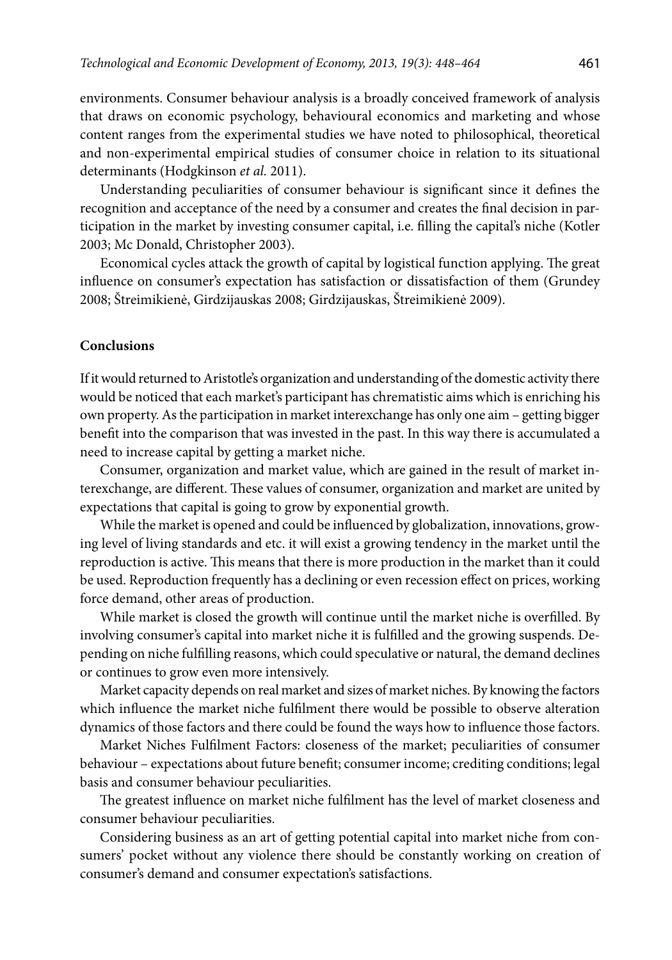environments. Consumer behaviour analysis is a broadly conceived framework of analysis that draws on economic psychology, behavioural economics and marketing and whose content ranges from the experimental studies we have noted to philosophical, theoretical and non-experimental empirical studies of consumer choice in relation to its situational determinants (Hodgkinson *et al.* 2011).

Understanding peculiarities of consumer behaviour is significant since it defines the recognition and acceptance of the need by a consumer and creates the final decision in participation in the market by investing consumer capital, i.e. filling the capital's niche (Kotler 2003; Mc Donald, Christopher 2003).

Economical cycles attack the growth of capital by logistical function applying. The great influence on consumer's expectation has satisfaction or dissatisfaction of them (Grundey 2008; Štreimikienė, Girdzijauskas 2008; Girdzijauskas, Štreimikienė 2009).

## **Conclusions**

If it would returned to Aristotle's organization and understanding of the domestic activity there would be noticed that each market's participant has chrematistic aims which is enriching his own property. As the participation in market interexchange has only one aim – getting bigger benefit into the comparison that was invested in the past. In this way there is accumulated a need to increase capital by getting a market niche.

Consumer, organization and market value, which are gained in the result of market interexchange, are different. These values of consumer, organization and market are united by expectations that capital is going to grow by exponential growth.

While the market is opened and could be influenced by globalization, innovations, growing level of living standards and etc. it will exist a growing tendency in the market until the reproduction is active. This means that there is more production in the market than it could be used. Reproduction frequently has a declining or even recession effect on prices, working force demand, other areas of production.

While market is closed the growth will continue until the market niche is overfilled. By involving consumer's capital into market niche it is fulfilled and the growing suspends. Depending on niche fulfilling reasons, which could speculative or natural, the demand declines or continues to grow even more intensively.

Market capacity depends on real market and sizes of market niches. By knowing the factors which influence the market niche fulfilment there would be possible to observe alteration dynamics of those factors and there could be found the ways how to influence those factors.

Market Niches Fulfilment Factors: closeness of the market; peculiarities of consumer behaviour – expectations about future benefit; consumer income; crediting conditions; legal basis and consumer behaviour peculiarities.

The greatest influence on market niche fulfilment has the level of market closeness and consumer behaviour peculiarities.

Considering business as an art of getting potential capital into market niche from consumers' pocket without any violence there should be constantly working on creation of consumer's demand and consumer expectation's satisfactions.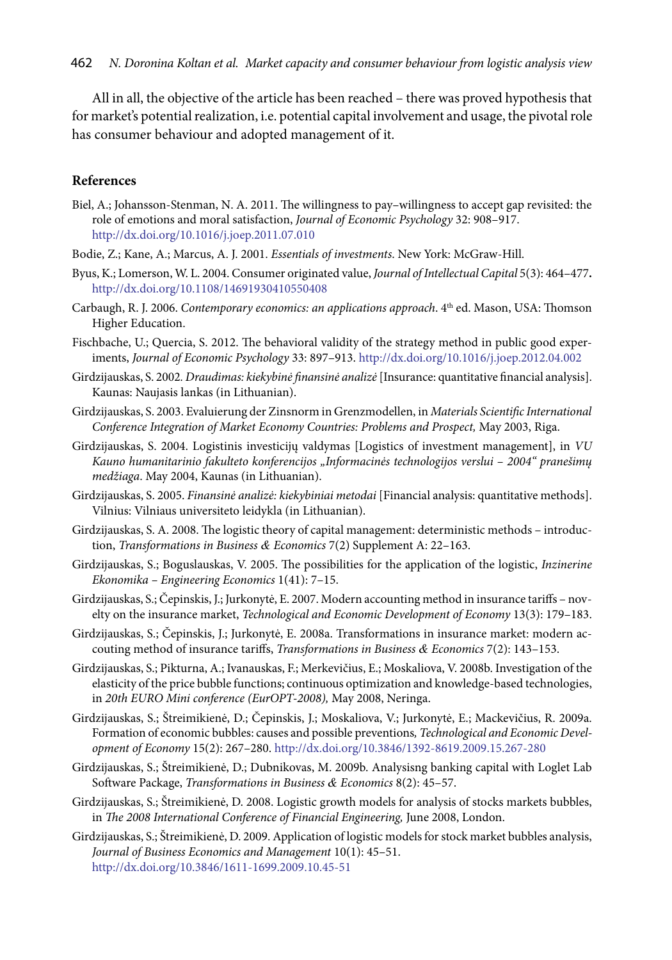All in all, the objective of the article has been reached – there was proved hypothesis that for market's potential realization, i.e. potential capital involvement and usage, the pivotal role has consumer behaviour and adopted management of it.

# **References**

- Biel, A.; Johansson-Stenman, N. A. 2011. The willingness to pay–willingness to accept gap revisited: the role of emotions and moral satisfaction, *Journal of Economic Psychology* 32: 908–917. <http://dx.doi.org/10.1016/j.joep.2011.07.010>
- Bodie, Z.; Kane, A.; Marcus, A. J. 2001. *Essentials of investments*. New York: McGraw-Hill.
- Byus, K.; Lomerson, W. L. 2004. Consumer originated value, *Journal of Intellectual Capital* 5(3): 464–477**.**  <http://dx.doi.org/10.1108/14691930410550408>
- Carbaugh, R. J. 2006. *Contemporary economics: an applications approach*. 4th ed. Mason, USA: Thomson Higher Education.
- Fischbache, U.; Quercia, S. 2012. The behavioral validity of the strategy method in public good experiments, *Journal of Economic Psychology* 33: 897–913.<http://dx.doi.org/10.1016/j.joep.2012.04.002>
- Girdzijauskas, S. 2002*. Draudimas: kiekybinė finansinė analizė* [Insurance: quantitative financial analysis]. Kaunas: Naujasis lankas (in Lithuanian).
- Girdzijauskas, S. 2003. Evaluierung der Zinsnorm in Grenzmodellen, in *Materials Scientific International Conference Integration of Market Economy Countries: Problems and Prospect,* May 2003, Riga.
- Girdzijauskas, S. 2004. Logistinis investicijų valdymas [Logistics of investment management], in *VU Kauno humanitarinio fakulteto konferencijos "Informacinės technologijos verslui – 2004" pranešimų medžiaga*. May 2004, Kaunas (in Lithuanian).
- Girdzijauskas, S. 2005. *Finansinė analizė: kiekybiniai metodai* [Financial analysis: quantitative methods]. Vilnius: Vilniaus universiteto leidykla (in Lithuanian).
- Girdzijauskas, S. A. 2008. The logistic theory of capital management: deterministic methods introduction, *Transformations in Business & Economics* 7(2) Supplement A: 22–163.
- Girdzijauskas, S.; Boguslauskas, V. 2005. The possibilities for the application of the logistic, *Inzinerine Ekonomika – Engineering Economics* 1(41): 7–15.
- Girdzijauskas, S.; Čepinskis, J.; Jurkonytė, E. 2007. Modern accounting method in insurance tariffs novelty on the insurance market, *Technological and Economic Development of Economy* 13(3): 179–183.
- Girdzijauskas, S.; Čepinskis, J.; Jurkonytė, E. 2008a. Transformations in insurance market: modern accouting method of insurance tariffs, *Transformations in Business & Economics* 7(2): 143–153.
- Girdzijauskas, S.; Pikturna, A.; Ivanauskas, F.; Merkevičius, E.; Moskaliova, V. 2008b. Investigation of the elasticity of the price bubble functions; continuous optimization and knowledge-based technologies, in *20th EURO Mini conference (EurOPT-2008),* May 2008, Neringa.
- Girdzijauskas, S.; Štreimikienė, D.; Čepinskis, J.; Moskaliova, V.; Jurkonytė, E.; Mackevičius, R. 2009a. Formation of economic bubbles: causes and possible preventions*, Technological and Economic Development of Economy* 15(2): 267–280. <http://dx.doi.org/10.3846/1392-8619.2009.15.267-280>
- Girdzijauskas, S.; Štreimikienė, D.; Dubnikovas, M. 2009b. Analysisng banking capital with Loglet Lab Software Package, *Transformations in Business & Economics* 8(2): 45–57.
- Girdzijauskas, S.; Štreimikienė, D. 2008. Logistic growth models for analysis of stocks markets bubbles, in *The 2008 International Conference of Financial Engineering*, June 2008, London.
- Girdzijauskas, S.; Štreimikienė, D. 2009. Application of logistic models for stock market bubbles analysis, *Journal of Business Economics and Management* 10(1): 45–51. <http://dx.doi.org/10.3846/1611-1699.2009.10.45-51>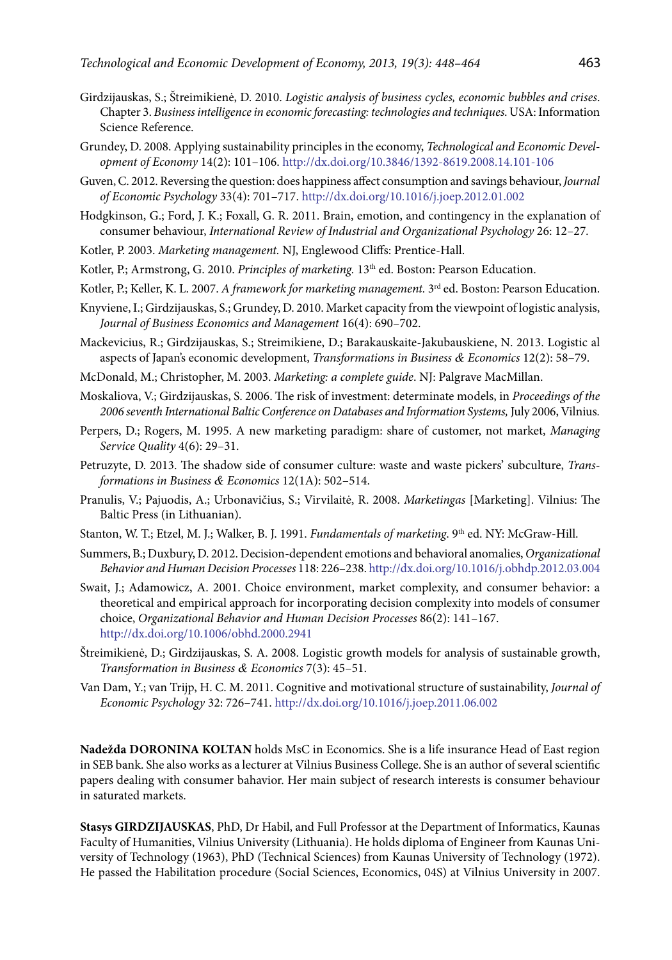- Girdzijauskas, S.; Štreimikienė, D. 2010. *Logistic analysis of business cycles, economic bubbles and crises*. Chapter 3. *Business intelligence in economic forecasting: technologies and techniques*. USA: Information Science Reference.
- Grundey, D. 2008. Applying sustainability principles in the economy, *Technological and Economic Development of Economy* 14(2): 101–106.<http://dx.doi.org/10.3846/1392-8619.2008.14.101-106>
- Guven, C. 2012. Reversing the question: does happiness affect consumption and savings behaviour, *Journal of Economic Psychology* 33(4): 701–717. <http://dx.doi.org/10.1016/j.joep.2012.01.002>
- Hodgkinson, G.; Ford, J. K.; Foxall, G. R. 2011. Brain, emotion, and contingency in the explanation of consumer behaviour, *International Review of Industrial and Organizational Psychology* 26: 12–27*.*
- Kotler, P. 2003. *Marketing management.* NJ, Englewood Cliffs: Prentice-Hall.
- Kotler, P.; Armstrong, G. 2010. *Principles of marketing*. 13<sup>th</sup> ed. Boston: Pearson Education.
- Kotler, P.; Keller, K. L. 2007. *A framework for marketing management.* 3rd ed. Boston: Pearson Education.
- Knyviene, I.; Girdzijauskas, S.; Grundey, D. 2010. Market capacity from the viewpoint of logistic analysis, *Journal of Business Economics and Management* 16(4): 690–702.
- Mackevicius, R.; Girdzijauskas, S.; Streimikiene, D.; Barakauskaite-Jakubauskiene, N. 2013. Logistic al aspects of Japan's economic development, *Transformations in Business & Economics* 12(2): 58–79.
- McDonald, M.; Christopher, M. 2003. *Marketing: a complete guide*. NJ: Palgrave MacMillan.
- Moskaliova, V.; Girdzijauskas, S. 2006. The risk of investment: determinate models, in *Proceedings of the 2006 seventh International Baltic Conference on Databases and Information Systems,* July 2006, Vilnius*.*
- Perpers, D.; Rogers, M. 1995. A new marketing paradigm: share of customer, not market, *Managing Service Quality* 4(6): 29–31.
- Petruzyte, D. 2013. The shadow side of consumer culture: waste and waste pickers' subculture, *Transformations in Business & Economics* 12(1A): 502–514.
- Pranulis, V.; Pajuodis, A.; Urbonavičius, S.; Virvilaitė, R. 2008. *Marketingas* [Marketing]. Vilnius: The Baltic Press (in Lithuanian).
- Stanton, W. T.; Etzel, M. J.; Walker, B. J. 1991. *Fundamentals of marketing*. 9<sup>th</sup> ed. NY: McGraw-Hill.
- Summers, B.; Duxbury, D. 2012. Decision-dependent emotions and behavioral anomalies, *Organizational Behavior and Human Decision Processes* 118: 226–238.<http://dx.doi.org/10.1016/j.obhdp.2012.03.004>
- Swait, J.; Adamowicz, A. 2001. Choice environment, market complexity, and consumer behavior: a theoretical and empirical approach for incorporating decision complexity into models of consumer choice, *Organizational Behavior and Human Decision Processes* 86(2): 141–167. <http://dx.doi.org/10.1006/obhd.2000.2941>
- Štreimikienė, D.; Girdzijauskas, S. A. 2008. Logistic growth models for analysis of sustainable growth, *Transformation in Business & Economics* 7(3): 45–51.
- Van Dam, Y.; van Trijp, H. C. M. 2011. Cognitive and motivational structure of sustainability, *Journal of Economic Psychology* 32: 726–741. <http://dx.doi.org/10.1016/j.joep.2011.06.002>

**Nadežda Doronina KOLTAN** holds MsC in Economics. She is a life insurance Head of East region in SEB bank. She also works as a lecturer at Vilnius Business College. She is an author of several scientific papers dealing with consumer bahavior. Her main subject of research interests is consumer behaviour in saturated markets.

**Stasys GIRDZIJAUSKAS**, PhD, Dr Habil, and Full Professor at the Department of Informatics, Kaunas Faculty of Humanities, Vilnius University (Lithuania). He holds diploma of Engineer from Kaunas University of Technology (1963), PhD (Technical Sciences) from Kaunas University of Technology (1972). He passed the Habilitation procedure (Social Sciences, Economics, 04S) at Vilnius University in 2007.